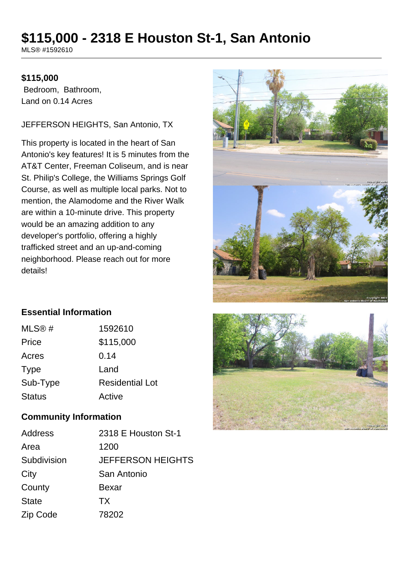# **\$115,000 - 2318 E Houston St-1, San Antonio**

MLS® #1592610

### **\$115,000**

 Bedroom, Bathroom, Land on 0.14 Acres

#### JEFFERSON HEIGHTS, San Antonio, TX

This property is located in the heart of San Antonio's key features! It is 5 minutes from the AT&T Center, Freeman Coliseum, and is near St. Philip's College, the Williams Springs Golf Course, as well as multiple local parks. Not to mention, the Alamodome and the River Walk are within a 10-minute drive. This property would be an amazing addition to any developer's portfolio, offering a highly trafficked street and an up-and-coming neighborhood. Please reach out for more details!



# **Essential Information**

| MLS@#         | 1592610                |
|---------------|------------------------|
| Price         | \$115,000              |
| Acres         | 0.14                   |
| <b>Type</b>   | Land                   |
| Sub-Type      | <b>Residential Lot</b> |
| <b>Status</b> | Active                 |

#### **Community Information**

| Address      | 2318 E Houston St-1      |
|--------------|--------------------------|
| Area         | 1200                     |
| Subdivision  | <b>JEFFERSON HEIGHTS</b> |
| City         | San Antonio              |
| County       | Bexar                    |
| <b>State</b> | TX                       |
| Zip Code     | 78202                    |